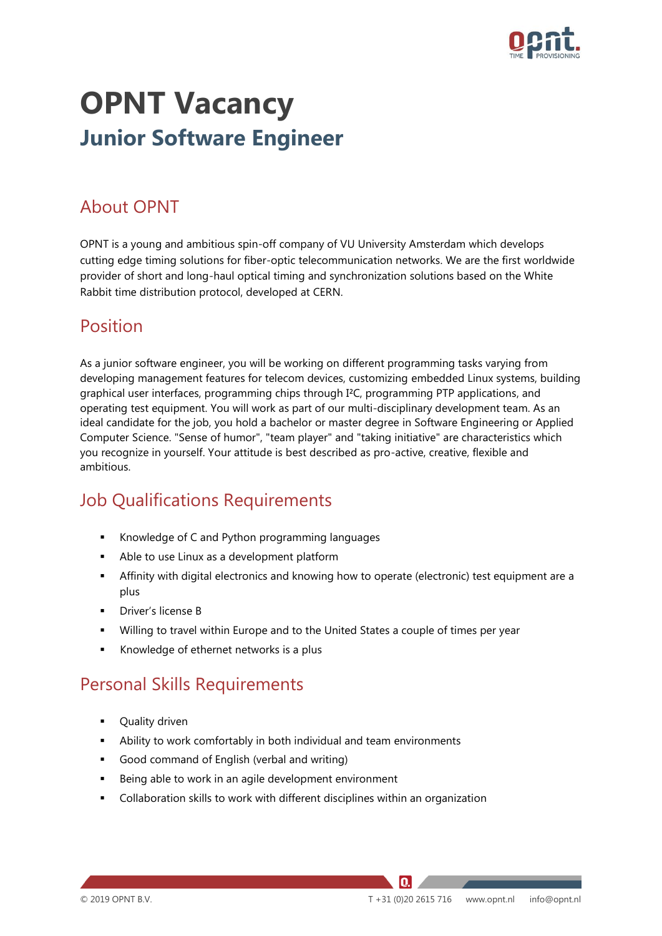

# **OPNT Vacancy Junior Software Engineer**

#### About OPNT

OPNT is a young and ambitious spin-off company of VU University Amsterdam which develops cutting edge timing solutions for fiber-optic telecommunication networks. We are the first worldwide provider of short and long-haul optical timing and synchronization solutions based on the White Rabbit time distribution protocol, developed at CERN.

#### Position

As a junior software engineer, you will be working on different programming tasks varying from developing management features for telecom devices, customizing embedded Linux systems, building graphical user interfaces, programming chips through I²C, programming PTP applications, and operating test equipment. You will work as part of our multi-disciplinary development team. As an ideal candidate for the job, you hold a bachelor or master degree in Software Engineering or Applied Computer Science. "Sense of humor", "team player" and "taking initiative" are characteristics which you recognize in yourself. Your attitude is best described as pro-active, creative, flexible and ambitious.

## Job Qualifications Requirements

- Knowledge of C and Python programming languages
- Able to use Linux as a development platform
- **•** Affinity with digital electronics and knowing how to operate (electronic) test equipment are a plus
- Driver's license B
- Willing to travel within Europe and to the United States a couple of times per year
- Knowledge of ethernet networks is a plus

## Personal Skills Requirements

- Quality driven
- Ability to work comfortably in both individual and team environments
- Good command of English (verbal and writing)
- Being able to work in an agile development environment
- Collaboration skills to work with different disciplines within an organization

IQ.